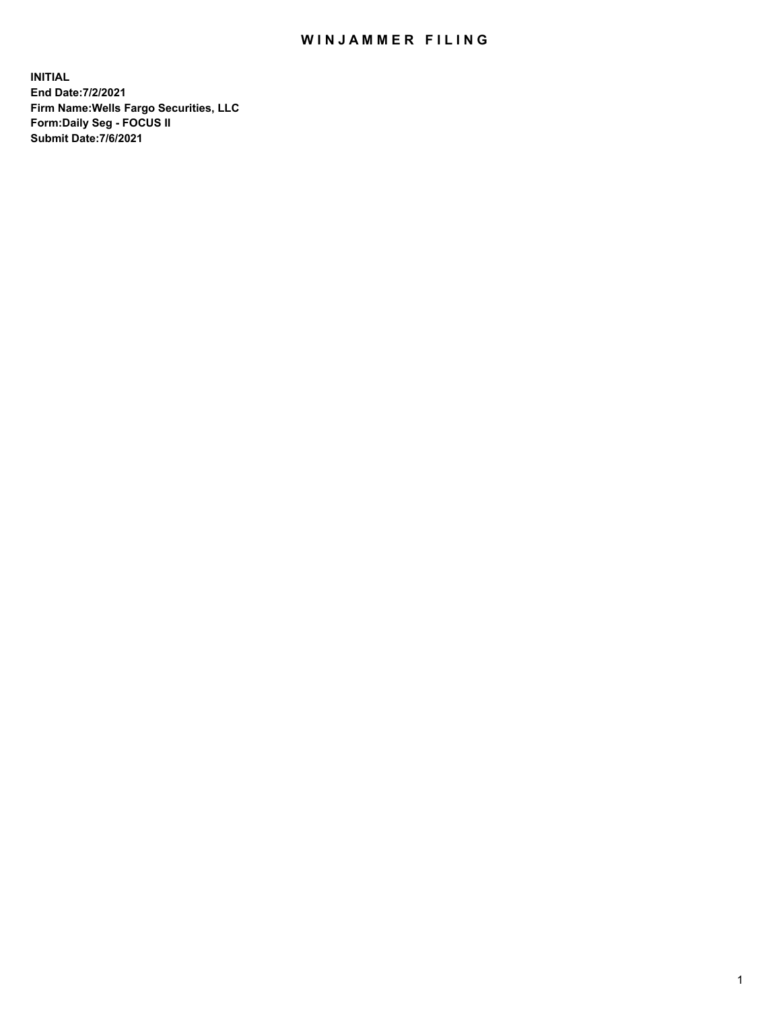## WIN JAMMER FILING

**INITIAL End Date:7/2/2021 Firm Name:Wells Fargo Securities, LLC Form:Daily Seg - FOCUS II Submit Date:7/6/2021**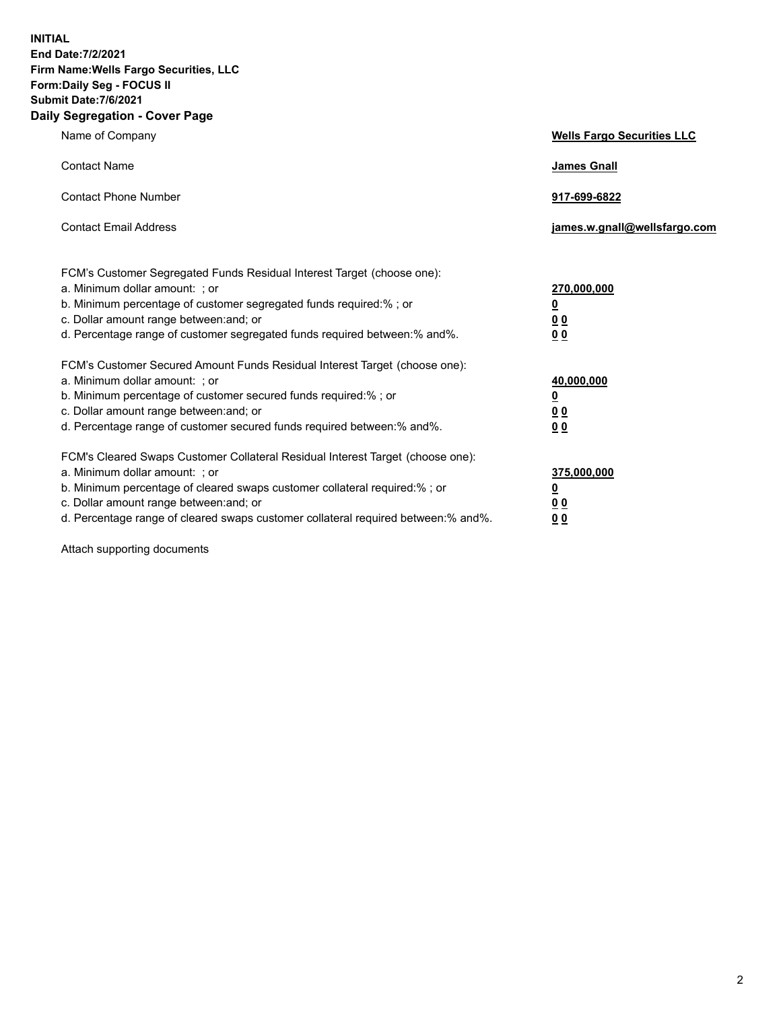**INITIAL End Date:7/2/2021 Firm Name:Wells Fargo Securities, LLC Form:Daily Seg - FOCUS II Submit Date:7/6/2021 Daily Segregation - Cover Page**

| Name of Company                                                                                                                                                                                                                                                                                                               | <b>Wells Fargo Securities LLC</b>                                         |
|-------------------------------------------------------------------------------------------------------------------------------------------------------------------------------------------------------------------------------------------------------------------------------------------------------------------------------|---------------------------------------------------------------------------|
| <b>Contact Name</b>                                                                                                                                                                                                                                                                                                           | <b>James Gnall</b>                                                        |
| <b>Contact Phone Number</b>                                                                                                                                                                                                                                                                                                   | 917-699-6822                                                              |
| <b>Contact Email Address</b>                                                                                                                                                                                                                                                                                                  | james.w.gnall@wellsfargo.com                                              |
| FCM's Customer Segregated Funds Residual Interest Target (choose one):<br>a. Minimum dollar amount: ; or<br>b. Minimum percentage of customer segregated funds required:% ; or<br>c. Dollar amount range between: and; or<br>d. Percentage range of customer segregated funds required between:% and%.                        | 270,000,000<br><u>0</u><br><u>00</u><br>00                                |
| FCM's Customer Secured Amount Funds Residual Interest Target (choose one):<br>a. Minimum dollar amount: ; or<br>b. Minimum percentage of customer secured funds required:%; or<br>c. Dollar amount range between: and; or<br>d. Percentage range of customer secured funds required between: % and %.                         | 40,000,000<br>$\overline{\mathbf{0}}$<br>0 <sub>0</sub><br>0 <sub>0</sub> |
| FCM's Cleared Swaps Customer Collateral Residual Interest Target (choose one):<br>a. Minimum dollar amount: ; or<br>b. Minimum percentage of cleared swaps customer collateral required:%; or<br>c. Dollar amount range between: and; or<br>d. Percentage range of cleared swaps customer collateral required between:% and%. | 375,000,000<br><u>0</u><br>0 <sub>0</sub><br>00                           |

Attach supporting documents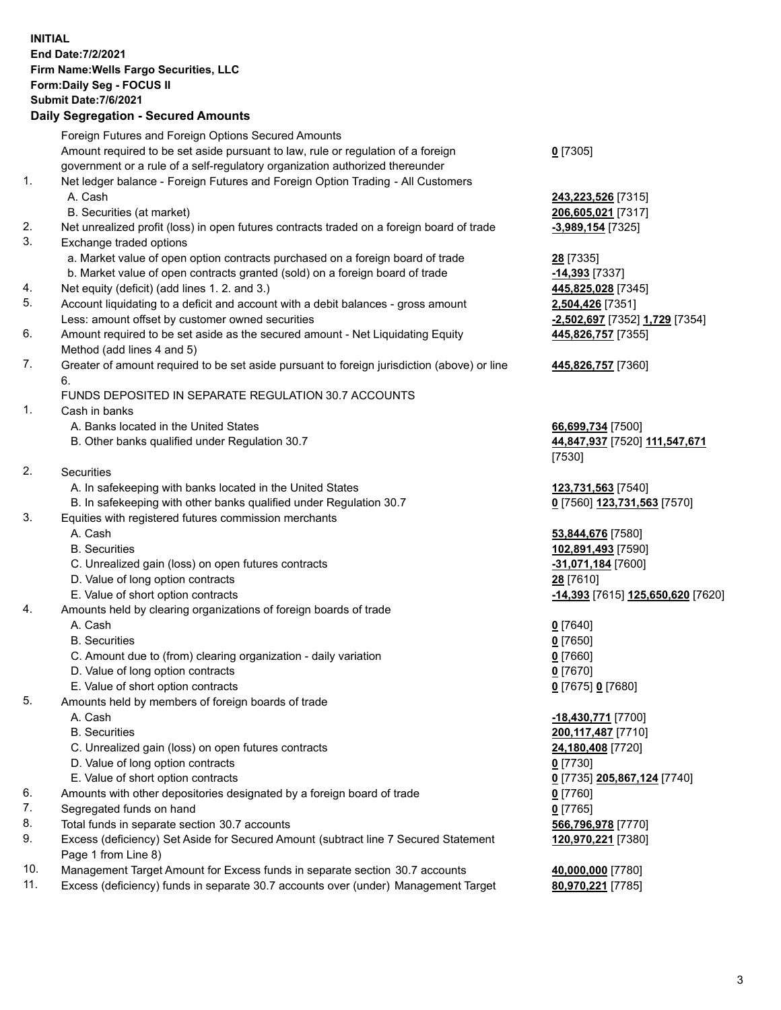**INITIAL End Date:7/2/2021 Firm Name:Wells Fargo Securities, LLC Form:Daily Seg - FOCUS II Submit Date:7/6/2021 Daily Segregation - Secured Amounts**

Foreign Futures and Foreign Options Secured Amounts Amount required to be set aside pursuant to law, rule or regulation of a foreign government or a rule of a self-regulatory organization authorized thereunder **0** [7305] 1. Net ledger balance - Foreign Futures and Foreign Option Trading - All Customers A. Cash **243,223,526** [7315] B. Securities (at market) **206,605,021** [7317] 2. Net unrealized profit (loss) in open futures contracts traded on a foreign board of trade **-3,989,154** [7325] 3. Exchange traded options a. Market value of open option contracts purchased on a foreign board of trade **28** [7335] b. Market value of open contracts granted (sold) on a foreign board of trade **-14,393** [7337] 4. Net equity (deficit) (add lines 1. 2. and 3.) **445,825,028** [7345] 5. Account liquidating to a deficit and account with a debit balances - gross amount **2,504,426** [7351] Less: amount offset by customer owned securities **-2,502,697** [7352] **1,729** [7354] 6. Amount required to be set aside as the secured amount - Net Liquidating Equity Method (add lines 4 and 5) **445,826,757** [7355] 7. Greater of amount required to be set aside pursuant to foreign jurisdiction (above) or line 6. **445,826,757** [7360] FUNDS DEPOSITED IN SEPARATE REGULATION 30.7 ACCOUNTS 1. Cash in banks A. Banks located in the United States **66,699,734** [7500] B. Other banks qualified under Regulation 30.7 **44,847,937** [7520] **111,547,671** [7530] 2. Securities A. In safekeeping with banks located in the United States **123,731,563** [7540] B. In safekeeping with other banks qualified under Regulation 30.7 **0** [7560] **123,731,563** [7570] 3. Equities with registered futures commission merchants A. Cash **53,844,676** [7580] B. Securities **102,891,493** [7590] C. Unrealized gain (loss) on open futures contracts **-31,071,184** [7600] D. Value of long option contracts **28** [7610] E. Value of short option contracts **-14,393** [7615] **125,650,620** [7620] 4. Amounts held by clearing organizations of foreign boards of trade A. Cash **0** [7640] B. Securities **0** [7650] C. Amount due to (from) clearing organization - daily variation **0** [7660] D. Value of long option contracts **0** [7670] E. Value of short option contracts **0** [7675] **0** [7680] 5. Amounts held by members of foreign boards of trade A. Cash **-18,430,771** [7700] B. Securities **200,117,487** [7710] C. Unrealized gain (loss) on open futures contracts **24,180,408** [7720] D. Value of long option contracts **0** [7730] E. Value of short option contracts **0** [7735] **205,867,124** [7740] 6. Amounts with other depositories designated by a foreign board of trade **0** [7760] 7. Segregated funds on hand **0** [7765] 8. Total funds in separate section 30.7 accounts **566,796,978** [7770] 9. Excess (deficiency) Set Aside for Secured Amount (subtract line 7 Secured Statement Page 1 from Line 8) **120,970,221** [7380] 10. Management Target Amount for Excess funds in separate section 30.7 accounts **40,000,000** [7780]

- 
- 11. Excess (deficiency) funds in separate 30.7 accounts over (under) Management Target **80,970,221** [7785]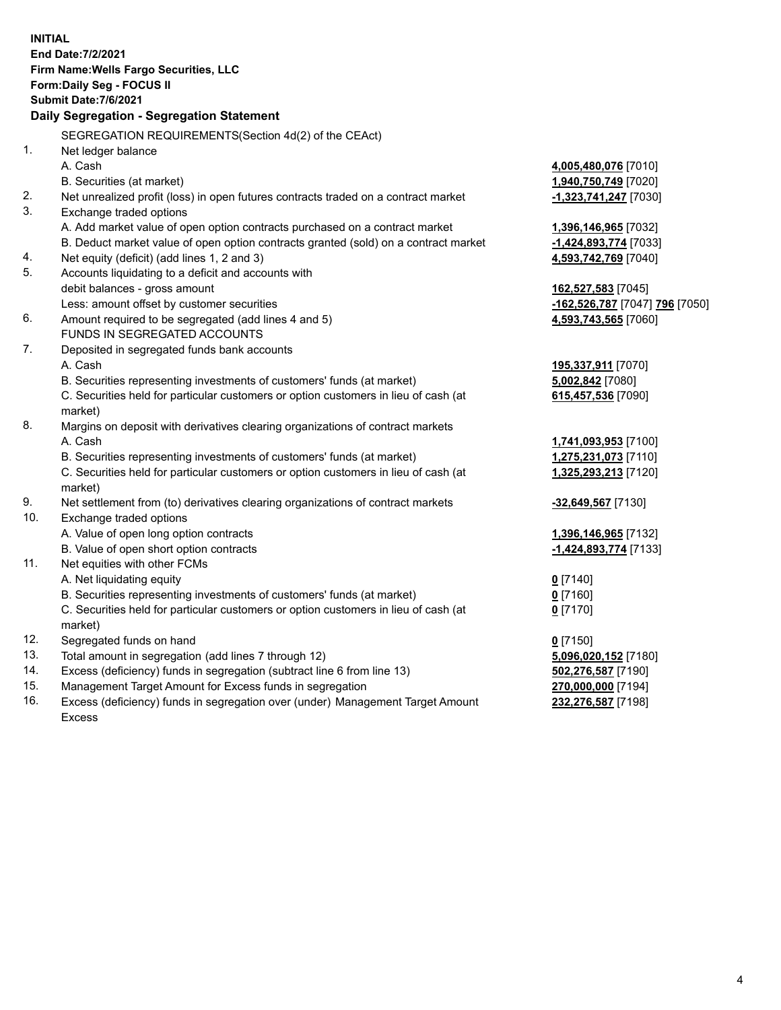| <b>INITIAL</b> | End Date: 7/2/2021<br>Firm Name: Wells Fargo Securities, LLC<br>Form: Daily Seg - FOCUS II<br>Submit Date: 7/6/2021<br>Daily Segregation - Segregation Statement |                                |
|----------------|------------------------------------------------------------------------------------------------------------------------------------------------------------------|--------------------------------|
|                | SEGREGATION REQUIREMENTS(Section 4d(2) of the CEAct)                                                                                                             |                                |
| 1.             | Net ledger balance                                                                                                                                               |                                |
|                | A. Cash                                                                                                                                                          | 4,005,480,076 [7010]           |
|                | B. Securities (at market)                                                                                                                                        | 1,940,750,749 [7020]           |
| 2.             | Net unrealized profit (loss) in open futures contracts traded on a contract market                                                                               | -1,323,741,247 [7030]          |
| 3.             | Exchange traded options                                                                                                                                          |                                |
|                | A. Add market value of open option contracts purchased on a contract market                                                                                      | 1,396,146,965 [7032]           |
|                | B. Deduct market value of open option contracts granted (sold) on a contract market                                                                              | -1,424,893,774 [7033]          |
| 4.             | Net equity (deficit) (add lines 1, 2 and 3)                                                                                                                      | 4,593,742,769 [7040]           |
| 5.             | Accounts liquidating to a deficit and accounts with                                                                                                              |                                |
|                | debit balances - gross amount                                                                                                                                    | 162,527,583 [7045]             |
|                | Less: amount offset by customer securities                                                                                                                       | -162,526,787 [7047] 796 [7050] |
| 6.             | Amount required to be segregated (add lines 4 and 5)                                                                                                             | 4,593,743,565 [7060]           |
|                | FUNDS IN SEGREGATED ACCOUNTS                                                                                                                                     |                                |
| 7.             | Deposited in segregated funds bank accounts                                                                                                                      |                                |
|                | A. Cash                                                                                                                                                          | 195,337,911 [7070]             |
|                | B. Securities representing investments of customers' funds (at market)                                                                                           | 5,002,842 [7080]               |
|                | C. Securities held for particular customers or option customers in lieu of cash (at<br>market)                                                                   | 615,457,536 [7090]             |
| 8.             | Margins on deposit with derivatives clearing organizations of contract markets                                                                                   |                                |
|                | A. Cash                                                                                                                                                          | 1,741,093,953 [7100]           |
|                | B. Securities representing investments of customers' funds (at market)                                                                                           | 1,275,231,073 [7110]           |
|                | C. Securities held for particular customers or option customers in lieu of cash (at                                                                              | 1,325,293,213 [7120]           |
|                | market)                                                                                                                                                          |                                |
| 9.             | Net settlement from (to) derivatives clearing organizations of contract markets                                                                                  | -32,649,567 [7130]             |
| 10.            | Exchange traded options                                                                                                                                          |                                |
|                | A. Value of open long option contracts                                                                                                                           | 1,396,146,965 [7132]           |
|                | B. Value of open short option contracts                                                                                                                          | -1,424,893,774 [7133]          |
| 11.            | Net equities with other FCMs                                                                                                                                     |                                |
|                | A. Net liquidating equity                                                                                                                                        | $0$ [7140]                     |
|                | B. Securities representing investments of customers' funds (at market)                                                                                           | $0$ [7160]                     |
|                | C. Securities held for particular customers or option customers in lieu of cash (at                                                                              | $0$ [7170]                     |
|                | market)                                                                                                                                                          |                                |
| 12.            | Segregated funds on hand                                                                                                                                         | $0$ [7150]                     |
| 13.            | Total amount in segregation (add lines 7 through 12)                                                                                                             | 5,096,020,152 [7180]           |
| 14.            | Excess (deficiency) funds in segregation (subtract line 6 from line 13)                                                                                          | 502,276,587 [7190]             |
| 15.            | Management Target Amount for Excess funds in segregation                                                                                                         | 270,000,000 [7194]             |
| 16.            | Excess (deficiency) funds in segregation over (under) Management Target Amount                                                                                   | 232,276,587 [7198]             |
|                | <b>Excess</b>                                                                                                                                                    |                                |